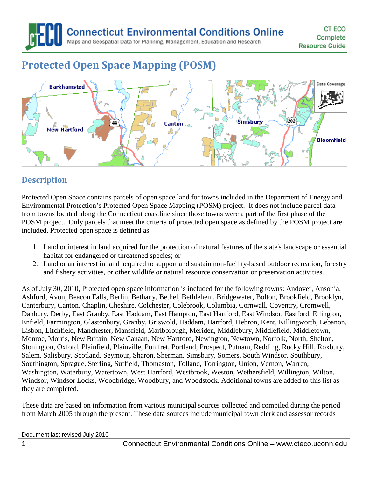**Connecticut Environmental Conditions Online** 

Maps and Geospatial Data for Planning, Management, Education and Research

# **Protected Open Space Mapping (POSM)**



## **Description**

Protected Open Space contains parcels of open space land for towns included in the Department of Energy and Environmental Protection's Protected Open Space Mapping (POSM) project. It does not include parcel data from towns located along the Connecticut coastline since those towns were a part of the first phase of the POSM project. Only parcels that meet the criteria of protected open space as defined by the POSM project are included. Protected open space is defined as:

- 1. Land or interest in land acquired for the protection of natural features of the state's landscape or essential habitat for endangered or threatened species; or
- 2. Land or an interest in land acquired to support and sustain non-facility-based outdoor recreation, forestry and fishery activities, or other wildlife or natural resource conservation or preservation activities.

As of July 30, 2010, Protected open space information is included for the following towns: Andover, Ansonia, Ashford, Avon, Beacon Falls, Berlin, Bethany, Bethel, Bethlehem, Bridgewater, Bolton, Brookfield, Brooklyn, Canterbury, Canton, Chaplin, Cheshire, Colchester, Colebrook, Columbia, Cornwall, Coventry, Cromwell, Danbury, Derby, East Granby, East Haddam, East Hampton, East Hartford, East Windsor, Eastford, Ellington, Enfield, Farmington, Glastonbury, Granby, Griswold, Haddam, Hartford, Hebron, Kent, Killingworth, Lebanon, Lisbon, Litchfield, Manchester, Mansfield, Marlborough, Meriden, Middlebury, Middlefield, Middletown, Monroe, Morris, New Britain, New Canaan, New Hartford, Newington, Newtown, Norfolk, North, Shelton, Stonington, Oxford, Plainfield, Plainville, Pomfret, Portland, Prospect, Putnam, Redding, Rocky Hill, Roxbury, Salem, Salisbury, Scotland, Seymour, Sharon, Sherman, Simsbury, Somers, South Windsor, Southbury, Southington, Sprague, Sterling, Suffield, Thomaston, Tolland, Torrington, Union, Vernon, Warren, Washington, Waterbury, Watertown, West Hartford, Westbrook, Weston, Wethersfield, Willington, Wilton, Windsor, Windsor Locks, Woodbridge, Woodbury, and Woodstock. Additional towns are added to this list as they are completed.

These data are based on information from various municipal sources collected and compiled during the period from March 2005 through the present. These data sources include municipal town clerk and assessor records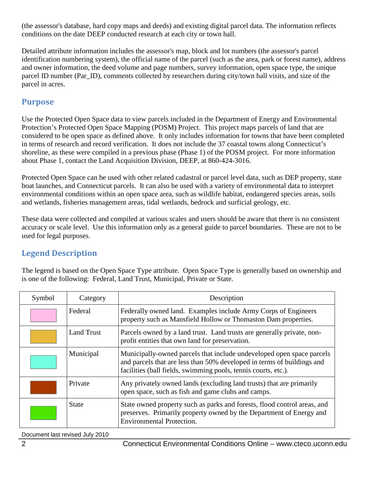(the assessor's database, hard copy maps and deeds) and existing digital parcel data. The information reflects conditions on the date DEEP conducted research at each city or town hall.

Detailed attribute information includes the assessor's map, block and lot numbers (the assessor's parcel identification numbering system), the official name of the parcel (such as the area, park or forest name), address and owner information, the deed volume and page numbers, survey information, open space type, the unique parcel ID number (Par\_ID), comments collected by researchers during city/town hall visits, and size of the parcel in acres.

## **Purpose**

Use the Protected Open Space data to view parcels included in the Department of Energy and Environmental Protection's Protected Open Space Mapping (POSM) Project. This project maps parcels of land that are considered to be open space as defined above. It only includes information for towns that have been completed in terms of research and record verification. It does not include the 37 coastal towns along Connecticut's shoreline, as these were compiled in a previous phase (Phase 1) of the POSM project. For more information about Phase 1, contact the Land Acquisition Division, DEEP, at 860-424-3016.

Protected Open Space can be used with other related cadastral or parcel level data, such as DEP property, state boat launches, and Connecticut parcels. It can also be used with a variety of environmental data to interpret environmental conditions within an open space area, such as wildlife habitat, endangered species areas, soils and wetlands, fisheries management areas, tidal wetlands, bedrock and surficial geology, etc.

These data were collected and compiled at various scales and users should be aware that there is no consistent accuracy or scale level. Use this information only as a general guide to parcel boundaries. These are not to be used for legal purposes.

# **Legend Description**

The legend is based on the Open Space Type attribute. Open Space Type is generally based on ownership and is one of the following: Federal, Land Trust, Municipal, Private or State.

| Symbol | Category          | Description                                                                                                                                                                                                       |
|--------|-------------------|-------------------------------------------------------------------------------------------------------------------------------------------------------------------------------------------------------------------|
|        | Federal           | Federally owned land. Examples include Army Corps of Engineers<br>property such as Mansfield Hollow or Thomaston Dam properties.                                                                                  |
|        | <b>Land Trust</b> | Parcels owned by a land trust. Land trusts are generally private, non-<br>profit entities that own land for preservation.                                                                                         |
|        | Municipal         | Municipally-owned parcels that include undeveloped open space parcels<br>and parcels that are less than 50% developed in terms of buildings and<br>facilities (ball fields, swimming pools, tennis courts, etc.). |
|        | Private           | Any privately owned lands (excluding land trusts) that are primarily<br>open space, such as fish and game clubs and camps.                                                                                        |
|        | <b>State</b>      | State owned property such as parks and forests, flood control areas, and<br>preserves. Primarily property owned by the Department of Energy and<br><b>Environmental Protection.</b>                               |

Document last revised July 2010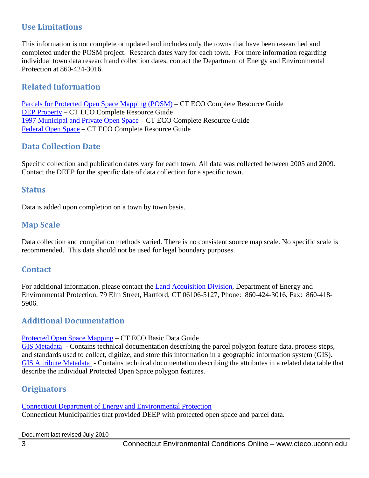## **Use Limitations**

This information is not complete or updated and includes only the towns that have been researched and completed under the POSM project. Research dates vary for each town. For more information regarding individual town data research and collection dates, contact the Department of Energy and Environmental Protection at 860-424-3016.

## **Related Information**

[Parcels for Protected Open Space Mapping \(POSM\)](http://cteco.uconn.edu/guides/resource/CT_ECO_Resource_Guide_Parcel.pdf) – CT ECO Complete Resource Guide [DEP Property](http://cteco.uconn.edu/guides/resource/CT_ECO_Resource_Guide_DEP_Property.pdf) – CT ECO Complete Resource Guide [1997 Municipal and Private Open Space](http://cteco.uconn.edu/guides/resource/CT_ECO_Resource_Guide_1997_Municipal_Private_Open_Space.pdf) – CT ECO Complete Resource Guide [Federal Open Space](http://cteco.uconn.edu/guides/resource/CT_ECO_Resource_Guide_Federal_Open_Space.pdf) – CT ECO Complete Resource Guide

## **Data Collection Date**

Specific collection and publication dates vary for each town. All data was collected between 2005 and 2009. Contact the DEEP for the specific date of data collection for a specific town.

#### **Status**

Data is added upon completion on a town by town basis.

### **Map Scale**

Data collection and compilation methods varied. There is no consistent source map scale. No specific scale is recommended. This data should not be used for legal boundary purposes.

#### **Contact**

For additional information, please contact the [Land Acquisition Division,](http://www.ct.gov/dep/cwp/view.asp?a=2706&q=323836&depNav_GID=1641) Department of Energy and Environmental Protection, 79 Elm Street, Hartford, CT 06106-5127, Phone: 860-424-3016, Fax: 860-418- 5906.

#### **Additional Documentation**

#### [Protected Open Space Mapping](http://www.cteco.uconn.edu/guides/protected_open_space.htm) – CT ECO Basic Data Guide

[GIS Metadata](http://www.cteco.uconn.edu/metadata/dep/document/PROTECTED_OPEN_SPACE_FGDC_Plus.htm) - Contains technical documentation describing the parcel polygon feature data, process steps, and standards used to collect, digitize, and store this information in a geographic information system (GIS). [GIS Attribute Metadata](http://www.cteco.uconn.edu/metadata/dep/document/PROTECTED_OPEN_SPACE_DAT_FGDC_Plus.htm) - Contains technical documentation describing the attributes in a related data table that describe the individual Protected Open Space polygon features.

## **Originators**

[Connecticut Department of Energy and Environmental Protection](http://ct.gov/deep)

Connecticut Municipalities that provided DEEP with protected open space and parcel data.

Document last revised July 2010